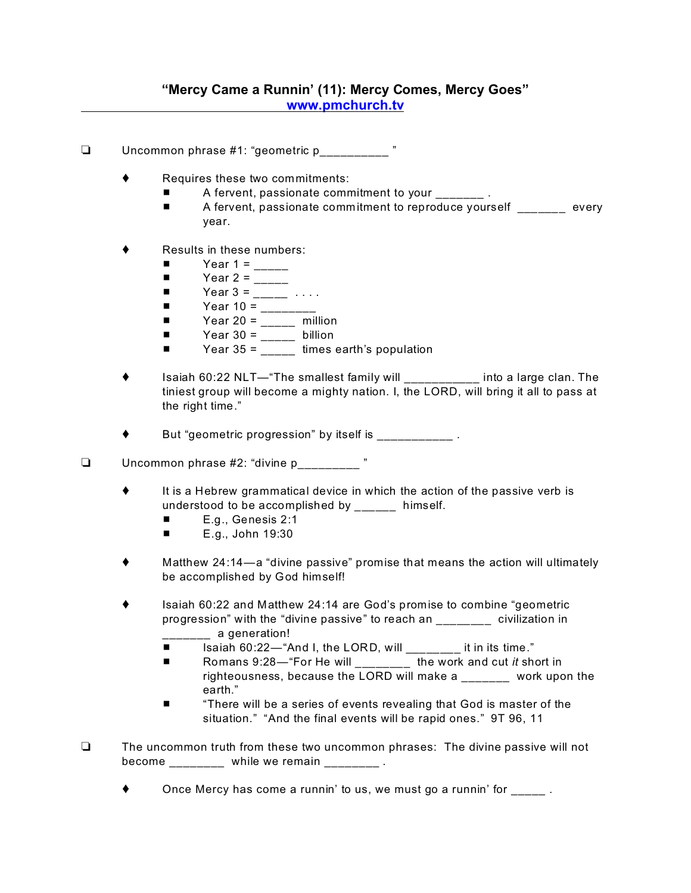- Uncommon phrase #1: "geometric p\_\_\_\_\_\_\_\_\_\_ "
	- ◆ Requires these two commitments:
		- A fervent, passionate commitment to your \_\_\_\_\_\_\_\_\_.
		- **A** fervent, passionate commitment to reproduce yourself every year.
	- Results in these numbers:
		- $\blacksquare$  Year 1 = \_\_\_\_\_
		- $\blacksquare$  Year 2 = \_\_\_\_\_
		- $\blacksquare$  Year 3 =  $\blacksquare$  ....
		- $\blacksquare$  Year 10 = \_\_\_\_\_\_\_\_
		- $\blacksquare$  Year 20 = \_\_\_\_\_ million
		- $\blacksquare$  Year 30 = \_\_\_\_\_ billion
		- $\blacksquare$  Year 35 = times earth's population
	- Isaiah 60:22 NLT—"The smallest family will \_\_\_\_\_\_\_\_\_\_\_ into a large clan. The tiniest group will become a mighty nation. I, the LORD, will bring it all to pass at the right time."

But "geometric progression" by itself is \_\_\_\_\_\_\_\_\_\_\_\_.

- $\Box$  Uncommon phrase #2: "divine p\_\_\_\_\_\_\_\_\_ "
	- $\bullet$  It is a Hebrew grammatical device in which the action of the passive verb is understood to be accomplished by \_\_\_\_\_\_ himself.
		- $\blacksquare$  E.g., Genesis 2:1
		- $\blacksquare$  E.g., John 19:30
	- Matthew 24:14—a "divine passive" promise that means the action will ultimately be accomplished by God himself!
	- ◆ Isaiah 60:22 and Matthew 24:14 are God's promise to combine "geometric progression" with the "divine passive" to reach an \_\_\_\_\_\_\_\_ civilization in a generation!
		- Isaiah 60:22—"And I, the LORD, will it in its time."
		- Romans 9:28—"For He will \_\_\_\_\_\_\_ the work and cut *it* short in righteousness, because the LORD will make a \_\_\_\_\_\_\_ work upon the earth."
		- **There will be a series of events revealing that God is master of the** situation." "And the final events will be rapid ones." 9T 96, 11
- $\Box$  The uncommon truth from these two uncommon phrases: The divine passive will not become \_\_\_\_\_\_\_\_ while we remain \_\_\_\_\_\_\_\_.
	- Once Mercy has come a runnin' to us, we must go a runnin' for  $\qquad \qquad$ .